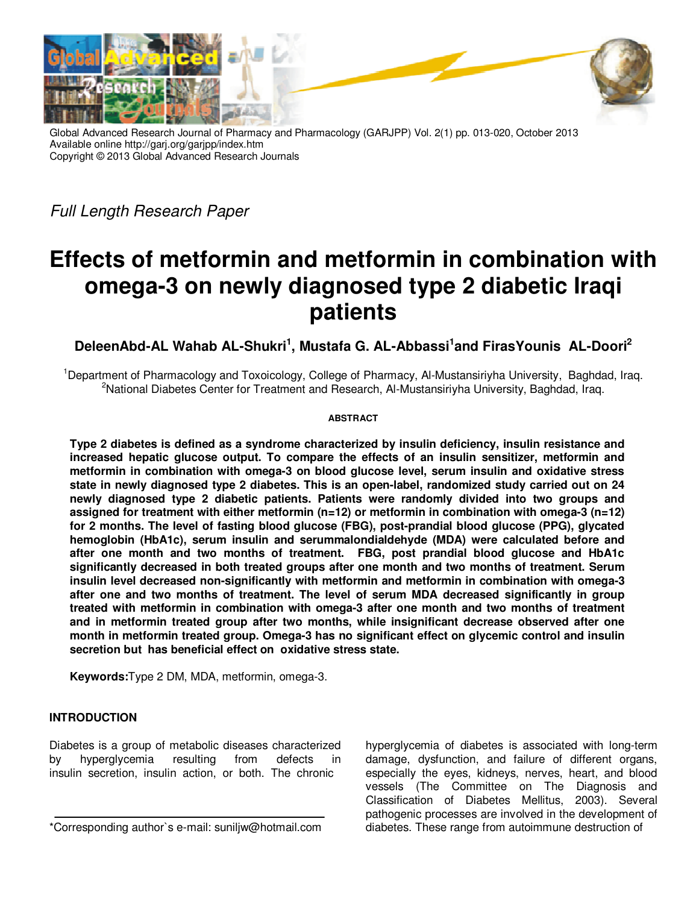

Global Advanced Research Journal of Pharmacy and Pharmacology (GARJPP) Vol. 2(1) pp. 013-020, October 2013 Available online http://garj.org/garjpp/index.htm Copyright © 2013 Global Advanced Research Journals

Full Length Research Paper

# **Effects of metformin and metformin in combination with omega-3 on newly diagnosed type 2 diabetic Iraqi patients**

**DeleenAbd-AL Wahab AL-Shukri<sup>1</sup> , Mustafa G. AL-Abbassi<sup>1</sup> and FirasYounis AL-Doori<sup>2</sup>**

<sup>1</sup>Department of Pharmacology and Toxoicology, College of Pharmacy, Al-Mustansiriyha University, Baghdad, Iraq. <sup>2</sup>National Diabetes Center for Treatment and Research, Al-Mustansiriyha University, Baghdad, Iraq.

### **ABSTRACT**

**Type 2 diabetes is defined as a syndrome characterized by insulin deficiency, insulin resistance and increased hepatic glucose output. To compare the effects of an insulin sensitizer, metformin and metformin in combination with omega-3 on blood glucose level, serum insulin and oxidative stress state in newly diagnosed type 2 diabetes. This is an open-label, randomized study carried out on 24 newly diagnosed type 2 diabetic patients. Patients were randomly divided into two groups and assigned for treatment with either metformin (n=12) or metformin in combination with omega-3 (n=12) for 2 months. The level of fasting blood glucose (FBG), post-prandial blood glucose (PPG), glycated hemoglobin (HbA1c), serum insulin and serummalondialdehyde (MDA) were calculated before and after one month and two months of treatment. FBG, post prandial blood glucose and HbA1c significantly decreased in both treated groups after one month and two months of treatment. Serum insulin level decreased non-significantly with metformin and metformin in combination with omega-3 after one and two months of treatment. The level of serum MDA decreased significantly in group treated with metformin in combination with omega-3 after one month and two months of treatment and in metformin treated group after two months, while insignificant decrease observed after one month in metformin treated group. Omega-3 has no significant effect on glycemic control and insulin secretion but has beneficial effect on oxidative stress state.** 

**Keywords:**Type 2 DM, MDA, metformin, omega-3.

# **INTRODUCTION**

Diabetes is a group of metabolic diseases characterized by hyperglycemia resulting from defects in insulin secretion, insulin action, or both. The chronic

hyperglycemia of diabetes is associated with long-term damage, dysfunction, and failure of different organs, especially the eyes, kidneys, nerves, heart, and blood vessels (The Committee on The Diagnosis and Classification of Diabetes Mellitus, 2003). Several pathogenic processes are involved in the development of diabetes. These range from autoimmune destruction of

<sup>\*</sup>Corresponding author`s e-mail: suniljw@hotmail.com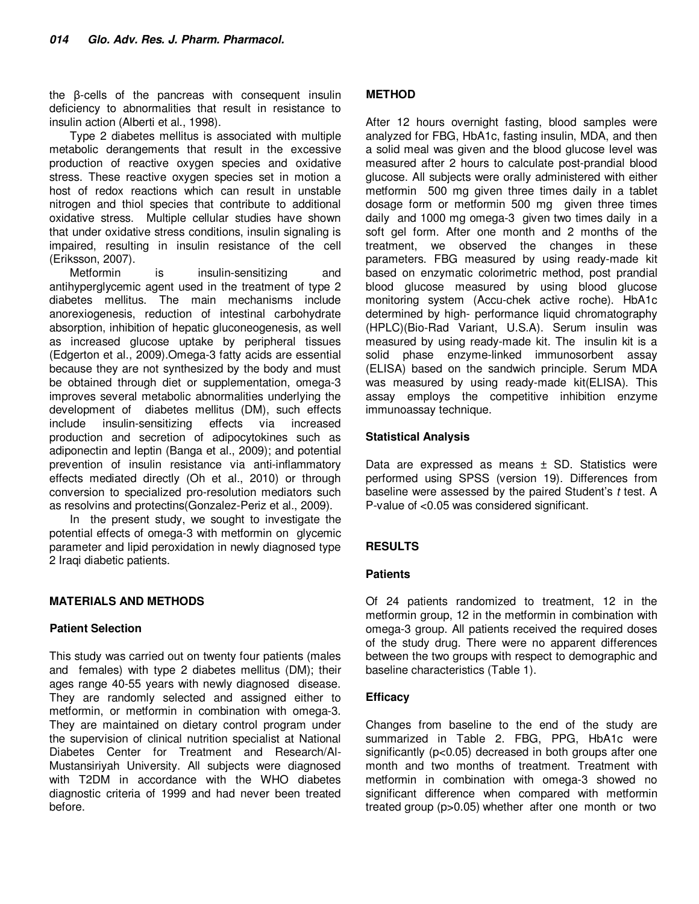the β-cells of the pancreas with consequent insulin deficiency to abnormalities that result in resistance to insulin action (Alberti et al., 1998).

Type 2 diabetes mellitus is associated with multiple metabolic derangements that result in the excessive production of reactive oxygen species and oxidative stress. These reactive oxygen species set in motion a host of redox reactions which can result in unstable nitrogen and thiol species that contribute to additional oxidative stress. Multiple cellular studies have shown that under oxidative stress conditions, insulin signaling is impaired, resulting in insulin resistance of the cell (Eriksson, 2007).

Metformin is insulin-sensitizing and antihyperglycemic agent used in the treatment of type 2 diabetes mellitus. The main mechanisms include anorexiogenesis, reduction of intestinal carbohydrate absorption, inhibition of hepatic gluconeogenesis, as well as increased glucose uptake by peripheral tissues (Edgerton et al., 2009).Omega-3 fatty acids are essential because they are not synthesized by the body and must be obtained through diet or supplementation, omega-3 improves several metabolic abnormalities underlying the development of diabetes mellitus (DM), such effects include insulin-sensitizing effects via increased production and secretion of adipocytokines such as adiponectin and leptin (Banga et al., 2009); and potential prevention of insulin resistance via anti-inflammatory effects mediated directly (Oh et al., 2010) or through conversion to specialized pro-resolution mediators such as resolvins and protectins(Gonzalez-Periz et al., 2009).

In the present study, we sought to investigate the potential effects of omega-3 with metformin on glycemic parameter and lipid peroxidation in newly diagnosed type 2 Iraqi diabetic patients.

# **MATERIALS AND METHODS**

#### **Patient Selection**

This study was carried out on twenty four patients (males and females) with type 2 diabetes mellitus (DM); their ages range 40-55 years with newly diagnosed disease. They are randomly selected and assigned either to metformin, or metformin in combination with omega-3. They are maintained on dietary control program under the supervision of clinical nutrition specialist at National Diabetes Center for Treatment and Research/Al-Mustansiriyah University. All subjects were diagnosed with T2DM in accordance with the WHO diabetes diagnostic criteria of 1999 and had never been treated before.

## **METHOD**

After 12 hours overnight fasting, blood samples were analyzed for FBG, HbA1c, fasting insulin, MDA, and then a solid meal was given and the blood glucose level was measured after 2 hours to calculate post-prandial blood glucose. All subjects were orally administered with either metformin 500 mg given three times daily in a tablet dosage form or metformin 500 mg given three times daily and 1000 mg omega-3 given two times daily in a soft gel form. After one month and 2 months of the treatment, we observed the changes in these parameters. FBG measured by using ready-made kit based on enzymatic colorimetric method, post prandial blood glucose measured by using blood glucose monitoring system (Accu-chek active roche). HbA1c determined by high- performance liquid chromatography (HPLC)(Bio-Rad Variant, U.S.A). Serum insulin was measured by using ready-made kit. The insulin kit is a solid phase enzyme-linked immunosorbent assay (ELISA) based on the sandwich principle. Serum MDA was measured by using ready-made kit(ELISA). This assay employs the competitive inhibition enzyme immunoassay technique.

### **Statistical Analysis**

Data are expressed as means  $\pm$  SD. Statistics were performed using SPSS (version 19). Differences from baseline were assessed by the paired Student's t test. A P-value of <0.05 was considered significant.

# **RESULTS**

#### **Patients**

Of 24 patients randomized to treatment, 12 in the metformin group, 12 in the metformin in combination with omega-3 group. All patients received the required doses of the study drug. There were no apparent differences between the two groups with respect to demographic and baseline characteristics (Table 1).

#### **Efficacy**

Changes from baseline to the end of the study are summarized in Table 2. FBG, PPG, HbA1c were significantly (p<0.05) decreased in both groups after one month and two months of treatment. Treatment with metformin in combination with omega-3 showed no significant difference when compared with metformin treated group (p>0.05) whether after one month or two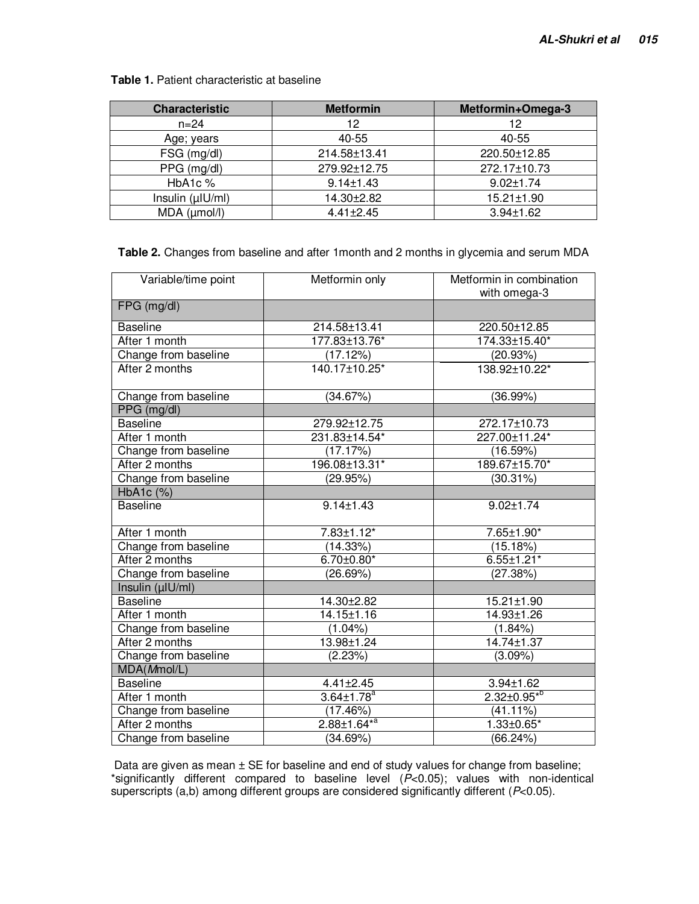**Table 1.** Patient characteristic at baseline

| <b>Characteristic</b> | <b>Metformin</b> | Metformin+Omega-3 |
|-----------------------|------------------|-------------------|
| $n = 24$              | 12               | 12                |
| Age; years            | 40-55            | 40-55             |
| FSG (mg/dl)           | 214.58±13.41     | 220.50±12.85      |
| PPG (mg/dl)           | 279.92±12.75     | 272.17±10.73      |
| HbA1c %               | $9.14 \pm 1.43$  | $9.02 \pm 1.74$   |
| Insulin (µIU/ml)      | 14.30±2.82       | 15.21±1.90        |
| $MDA$ ( $\mu$ mol/l)  | $4.41 \pm 2.45$  | $3.94 \pm 1.62$   |

### **Table 2.** Changes from baseline and after 1month and 2 months in glycemia and serum MDA

| Variable/time point  | Metformin only               | Metformin in combination<br>with omega-3 |
|----------------------|------------------------------|------------------------------------------|
| FPG (mg/dl)          |                              |                                          |
| <b>Baseline</b>      | 214.58±13.41                 | 220.50±12.85                             |
| After 1 month        | 177.83±13.76*                | 174.33±15.40*                            |
| Change from baseline | (17.12%)                     | (20.93%)                                 |
| After 2 months       | 140.17±10.25*                | 138.92±10.22*                            |
| Change from baseline | (34.67%)                     | (36.99%)                                 |
| PPG (mg/dl)          |                              |                                          |
| <b>Baseline</b>      | 279.92±12.75                 | 272.17±10.73                             |
| After 1 month        | 231.83±14.54*                | 227.00±11.24*                            |
| Change from baseline | (17.17%)                     | (16.59%)                                 |
| After 2 months       | 196.08±13.31*                | 189.67±15.70*                            |
| Change from baseline | (29.95%)                     | $(30.31\%)$                              |
| HbA1c (%)            |                              |                                          |
| <b>Baseline</b>      | $9.14 \pm 1.43$              | $9.02 \pm 1.74$                          |
| After 1 month        | $7.83 \pm 1.12$ *            | 7.65±1.90*                               |
| Change from baseline | (14.33%)                     | (15.18%)                                 |
| After 2 months       | $6.70 \pm 0.80^*$            | $6.55 \pm 1.21$ *                        |
| Change from baseline | (26.69%)                     | (27.38%)                                 |
| Insulin (µIU/ml)     |                              |                                          |
| <b>Baseline</b>      | 14.30±2.82                   | 15.21±1.90                               |
| After 1 month        | 14.15±1.16                   | 14.93±1.26                               |
| Change from baseline | $(1.04\%)$                   | $(1.84\%)$                               |
| After 2 months       | 13.98±1.24                   | $14.74 \pm 1.37$                         |
| Change from baseline | (2.23%)                      | $(3.09\%)$                               |
| MDA(Mmol/L)          |                              |                                          |
| <b>Baseline</b>      | $4.41 \pm 2.45$              | $3.94 \pm 1.62$                          |
| After 1 month        | $3.64 \pm 1.78$ <sup>a</sup> | $2.32 \pm 0.95^{*0}$                     |
| Change from baseline | (17.46%)                     | $(41.11\%)$                              |
| After 2 months       | $2.88 \pm 1.64^{*a}$         | 1.33±0.65*                               |
| Change from baseline | (34.69%)                     | (66.24%)                                 |

Data are given as mean  $\pm$  SE for baseline and end of study values for change from baseline; \*significantly different compared to baseline level (P<0.05); values with non-identical superscripts (a,b) among different groups are considered significantly different ( $P<0.05$ ).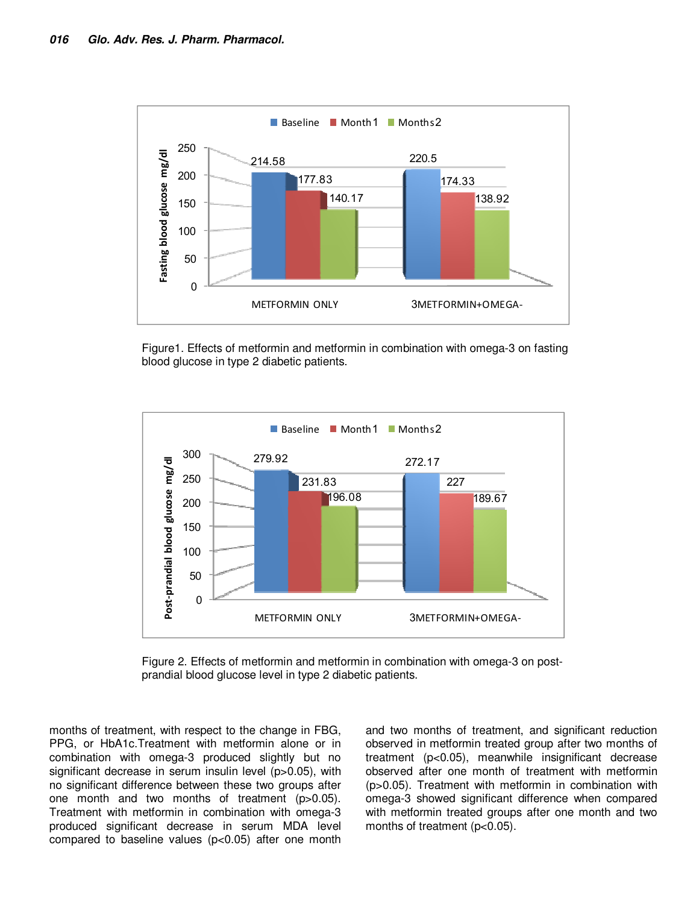

Figure1. Effects of metformin and metformin in combination with omega-3 on fasting blood glucose in type 2 diabetic patients.



Figure 2. Effects of metformin and metformin in combination with omega-3 on postprandial blood glucose level in type 2 diabetic patients.

months of treatment, with respect to the change in FBG, PPG, or HbA1c.Treatment with metformin alone or in combination with omega-3 produced slightly but no significant decrease in serum insulin level (p>0.05), with no significant difference between these two groups after one month and two months of treatment (p>0.05). Treatment with metformin in combination with omega-3 produced significant decrease in serum MDA level compared to baseline values (p<0.05) after one month

and two months of treatment, and significant reduction observed in metformin treated group after two months of treatment (p<0.05), meanwhile insignificant decrease observed after one month of treatment with metformin (p>0.05). Treatment with metformin in combination with omega-3 showed significant difference when compared with metformin treated groups after one month and two months of treatment (p<0.05).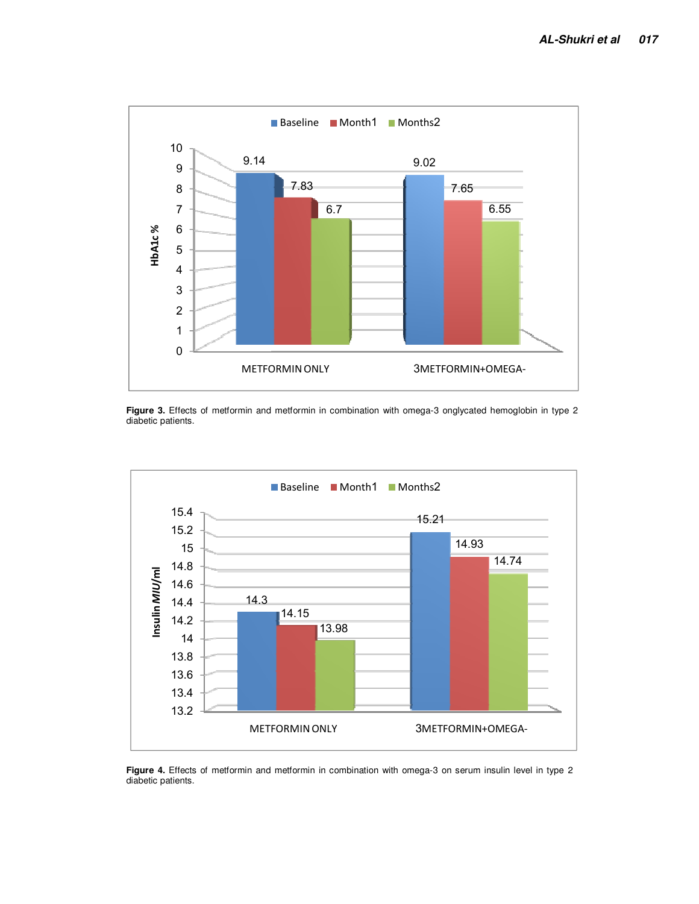

**Figure 3.** Effects of metformin and metformin in combination with omega-3 onglycated hemoglobin in type 2 diabetic patients.



**Figure 4.** Effects of metformin and metformin in combination with omega-3 on serum insulin level in type 2 diabetic patients.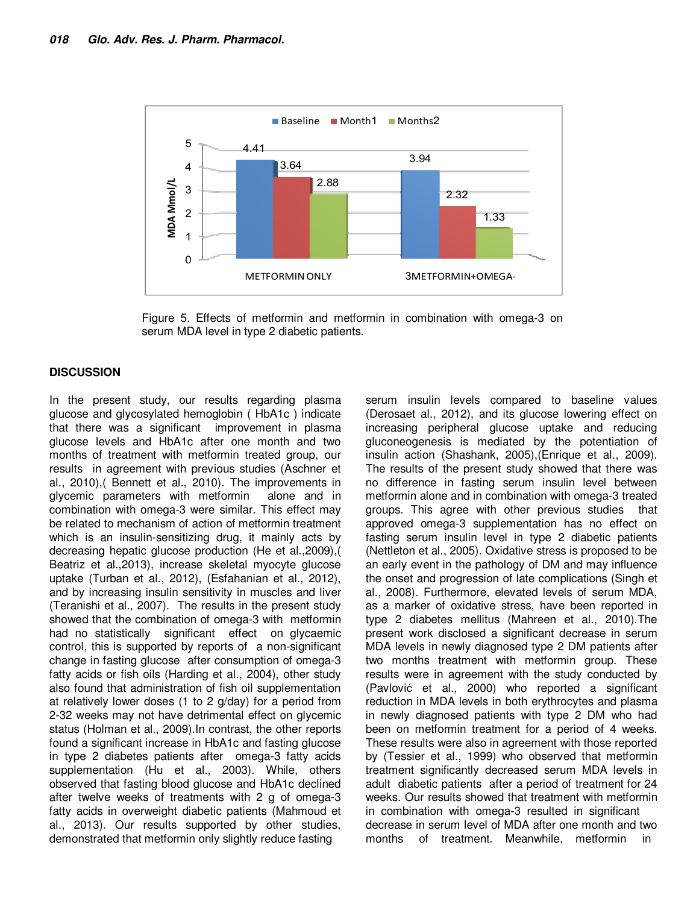

Figure 5. Effects of metformin and metformin in combination with omega-3 on serum MDA level in type 2 diabetic patients.

### **DISCUSSION**

In the present study, our results regarding plasma glucose and glycosylated hemoglobin ( HbA1c ) indicate that there was a significant improvement in plasma glucose levels and HbA1c after one month and two months of treatment with metformin treated group, our results in agreement with previous studies (Aschner et al., 2010),( Bennett et al., 2010). The improvements in glycemic parameters with metformin alone and in combination with omega-3 were similar. This effect may be related to mechanism of action of metformin treatment which is an insulin-sensitizing drug, it mainly acts by decreasing hepatic glucose production (He et al.,2009),( Beatriz et al.,2013), increase skeletal myocyte glucose uptake (Turban et al., 2012), (Esfahanian et al., 2012), and by increasing insulin sensitivity in muscles and liver (Teranishi et al., 2007). The results in the present study showed that the combination of omega-3 with metformin had no statistically significant effect on glycaemic control, this is supported by reports of a non-significant change in fasting glucose after consumption of omega-3 fatty acids or fish oils (Harding et al., 2004), other study also found that administration of fish oil supplementation at relatively lower doses (1 to 2 g/day) for a period from 2-32 weeks may not have detrimental effect on glycemic status (Holman et al., 2009).In contrast, the other reports found a significant increase in HbA1c and fasting glucose in type 2 diabetes patients after omega-3 fatty acids supplementation (Hu et al., 2003). While, others observed that fasting blood glucose and HbA1c declined after twelve weeks of treatments with 2 g of omega-3 fatty acids in overweight diabetic patients (Mahmoud et al., 2013). Our results supported by other studies, demonstrated that metformin only slightly reduce fasting

serum insulin levels compared to baseline values (Derosaet al., 2012), and its glucose lowering effect on increasing peripheral glucose uptake and reducing gluconeogenesis is mediated by the potentiation of insulin action (Shashank, 2005),(Enrique et al., 2009). The results of the present study showed that there was no difference in fasting serum insulin level between metformin alone and in combination with omega-3 treated groups. This agree with other previous studies that approved omega-3 supplementation has no effect on fasting serum insulin level in type 2 diabetic patients (Nettleton et al., 2005). Oxidative stress is proposed to be an early event in the pathology of DM and may influence the onset and progression of late complications (Singh et al., 2008). Furthermore, elevated levels of serum MDA, as a marker of oxidative stress, have been reported in type 2 diabetes mellitus (Mahreen et al., 2010).The present work disclosed a significant decrease in serum MDA levels in newly diagnosed type 2 DM patients after two months treatment with metformin group. These results were in agreement with the study conducted by (Pavlović et al., 2000) who reported a significant reduction in MDA levels in both erythrocytes and plasma in newly diagnosed patients with type 2 DM who had been on metformin treatment for a period of 4 weeks. These results were also in agreement with those reported by (Tessier et al., 1999) who observed that metformin treatment significantly decreased serum MDA levels in adult diabetic patients after a period of treatment for 24 weeks. Our results showed that treatment with metformin in combination with omega-3 resulted in significant decrease in serum level of MDA after one month and two months of treatment. Meanwhile, metformin in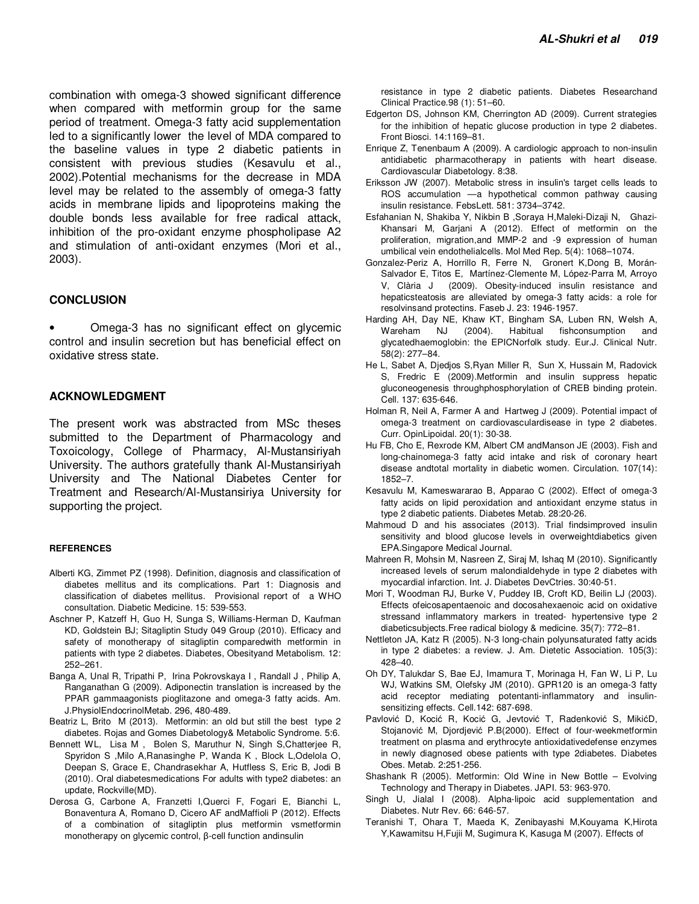combination with omega-3 showed significant difference when compared with metformin group for the same period of treatment. Omega-3 fatty acid supplementation led to a significantly lower the level of MDA compared to the baseline values in type 2 diabetic patients in consistent with previous studies (Kesavulu et al., 2002).Potential mechanisms for the decrease in MDA level may be related to the assembly of omega-3 fatty acids in membrane lipids and lipoproteins making the double bonds less available for free radical attack, inhibition of the pro-oxidant enzyme phospholipase A2 and stimulation of anti-oxidant enzymes (Mori et al., 2003).

#### **CONCLUSION**

• Omega-3 has no significant effect on glycemic control and insulin secretion but has beneficial effect on oxidative stress state.

#### **ACKNOWLEDGMENT**

The present work was abstracted from MSc theses submitted to the Department of Pharmacology and Toxoicology, College of Pharmacy, Al-Mustansiriyah University. The authors gratefully thank Al-Mustansiriyah University and The National Diabetes Center for Treatment and Research/Al-Mustansiriya University for supporting the project.

#### **REFERENCES**

- Alberti KG, Zimmet PZ (1998). Definition, diagnosis and classification of diabetes mellitus and its complications. Part 1: Diagnosis and classification of diabetes mellitus. Provisional report of a WHO consultation. Diabetic Medicine. 15: 539-553.
- Aschner P, Katzeff H, Guo H, Sunga S, Williams-Herman D, Kaufman KD, Goldstein BJ; Sitagliptin Study 049 Group (2010). Efficacy and safety of monotherapy of sitagliptin comparedwith metformin in patients with type 2 diabetes. Diabetes, Obesityand Metabolism. 12: 252–261.
- Banga A, Unal R, Tripathi P, Irina Pokrovskaya I , Randall J , Philip A, Ranganathan G (2009). Adiponectin translation is increased by the PPAR gammaagonists pioglitazone and omega-3 fatty acids. Am. J.PhysiolEndocrinolMetab. 296, 480-489.
- Beatriz L, Brito M (2013). Metformin: an old but still the best type 2 diabetes. Rojas and Gomes Diabetology& Metabolic Syndrome. 5:6.
- Bennett WL, Lisa M , Bolen S, Maruthur N, Singh S,Chatterjee R, Spyridon S ,Milo A,Ranasinghe P, Wanda K , Block L,Odelola O, Deepan S, Grace E, Chandrasekhar A, Hutfless S, Eric B, Jodi B (2010). Oral diabetesmedications For adults with type2 diabetes: an update, Rockville(MD).
- Derosa G, Carbone A, Franzetti I,Querci F, Fogari E, Bianchi L, Bonaventura A, Romano D, Cicero AF andMaffioli P (2012). Effects of a combination of sitagliptin plus metformin vsmetformin monotherapy on glycemic control, β-cell function andinsulin

resistance in type 2 diabetic patients. Diabetes Researchand Clinical Practice.98 (1): 51–60.

- Edgerton DS, Johnson KM, Cherrington AD (2009). Current strategies for the inhibition of hepatic glucose production in type 2 diabetes. Front Biosci. 14:1169–81.
- Enrique Z, Tenenbaum A (2009). A cardiologic approach to non-insulin antidiabetic pharmacotherapy in patients with heart disease. Cardiovascular Diabetology. 8:38.
- Eriksson JW (2007). Metabolic stress in insulin's target cells leads to ROS accumulation —a hypothetical common pathway causing insulin resistance. FebsLett. 581: 3734–3742.
- Esfahanian N, Shakiba Y, Nikbin B ,Soraya H,Maleki-Dizaji N, Ghazi-Khansari M, Garjani A (2012). Effect of metformin on the proliferation, migration,and MMP-2 and -9 expression of human umbilical vein endothelialcells. Mol Med Rep. 5(4): 1068–1074.
- Gonzalez-Periz A, Horrillo R, Ferre N, Gronert K,Dong B, Morán-Salvador E, Titos E, Martínez-Clemente M, López-Parra M, Arroyo V, Clària J (2009). Obesity-induced insulin resistance and hepaticsteatosis are alleviated by omega-3 fatty acids: a role for resolvinsand protectins. Faseb J. 23: 1946-1957.
- Harding AH, Day NE, Khaw KT, Bingham SA, Luben RN, Welsh A, Wareham NJ (2004). Habitual fishconsumption and glycatedhaemoglobin: the EPICNorfolk study. Eur.J. Clinical Nutr. 58(2): 277–84.
- He L, Sabet A, Djedjos S,Ryan Miller R, Sun X, Hussain M, Radovick S, Fredric E (2009).Metformin and insulin suppress hepatic gluconeogenesis throughphosphorylation of CREB binding protein. Cell. 137: 635-646.
- Holman R, Neil A, Farmer A and Hartweg J (2009). Potential impact of omega-3 treatment on cardiovasculardisease in type 2 diabetes. Curr. OpinLipoidal. 20(1): 30-38.
- Hu FB, Cho E, Rexrode KM, Albert CM andManson JE (2003). Fish and long-chainomega-3 fatty acid intake and risk of coronary heart disease andtotal mortality in diabetic women. Circulation. 107(14): 1852–7.
- Kesavulu M, Kameswararao B, Apparao C (2002). Effect of omega-3 fatty acids on lipid peroxidation and antioxidant enzyme status in type 2 diabetic patients. Diabetes Metab. 28:20-26.
- Mahmoud D and his associates (2013). Trial findsimproved insulin sensitivity and blood glucose levels in overweightdiabetics given EPA.Singapore Medical Journal.
- Mahreen R, Mohsin M, Nasreen Z, Siraj M, Ishaq M (2010). Significantly increased levels of serum malondialdehyde in type 2 diabetes with myocardial infarction. Int. J. Diabetes DevCtries. 30:40-51.
- Mori T, Woodman RJ, Burke V, Puddey IB, Croft KD, Beilin LJ (2003). Effects ofeicosapentaenoic and docosahexaenoic acid on oxidative stressand inflammatory markers in treated- hypertensive type 2 diabeticsubjects.Free radical biology & medicine. 35(7): 772–81.
- Nettleton JA, Katz R (2005). N-3 long-chain polyunsaturated fatty acids in type 2 diabetes: a review. J. Am. Dietetic Association. 105(3): 428–40.
- Oh DY, Talukdar S, Bae EJ, Imamura T, Morinaga H, Fan W, Li P, Lu WJ, Watkins SM, Olefsky JM (2010). GPR120 is an omega-3 fatty acid receptor mediating potentanti-inflammatory and insulinsensitizing effects. Cell.142: 687-698.
- Pavlović D, Kocić R, Kocić G, Jevtović T, Radenković S, MikićD, Stojanović M, Djordjević P.B(2000). Effect of four-weekmetformin treatment on plasma and erythrocyte antioxidativedefense enzymes in newly diagnosed obese patients with type 2diabetes. Diabetes Obes. Metab. 2:251-256.
- Shashank R (2005). Metformin: Old Wine in New Bottle Evolving Technology and Therapy in Diabetes. JAPI. 53: 963-970.
- Singh U, Jialal I (2008). Alpha-lipoic acid supplementation and Diabetes. Nutr Rev. 66: 646-57.
- Teranishi T, Ohara T, Maeda K, Zenibayashi M,Kouyama K,Hirota Y,Kawamitsu H,Fujii M, Sugimura K, Kasuga M (2007). Effects of